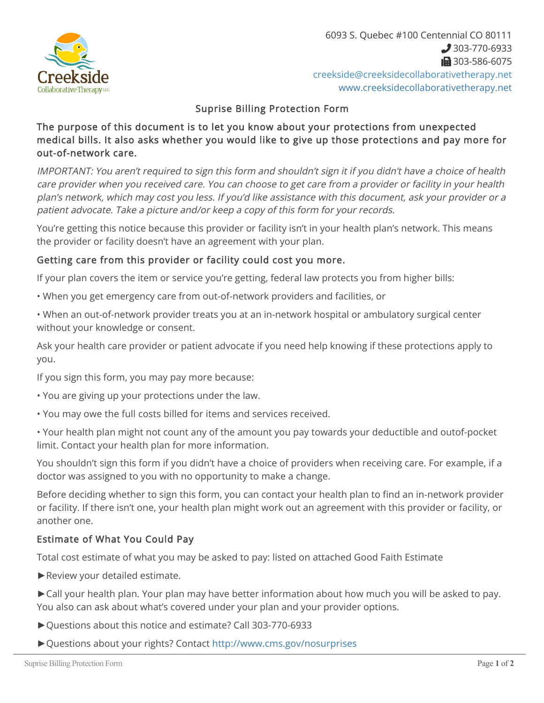

### Suprise Billing Protection Form

### The purpose of this document is to let you know about your protections from unexpected medical bills. It also asks whether you would like to give up those protections and pay more for out-of-network care.

IMPORTANT: You aren't required to sign this form and shouldn't sign it if you didn't have a choice of health care provider when you received care. You can choose to get care from a provider or facility in your health plan's network, which may cost you less. If you'd like assistance with this document, ask your provider or a patient advocate. Take a picture and/or keep a copy of this form for your records.

You're getting this notice because this provider or facility isn't in your health plan's network. This means the provider or facility doesn't have an agreement with your plan.

## Getting care from this provider or facility could cost you more.

If your plan covers the item or service you're getting, federal law protects you from higher bills:

• When you get emergency care from out-of-network providers and facilities, or

• When an out-of-network provider treats you at an in-network hospital or ambulatory surgical center without your knowledge or consent.

Ask your health care provider or patient advocate if you need help knowing if these protections apply to you.

If you sign this form, you may pay more because:

- You are giving up your protections under the law.
- You may owe the full costs billed for items and services received.
- Your health plan might not count any of the amount you pay towards your deductible and outof-pocket limit. Contact your health plan for more information.

You shouldn't sign this form if you didn't have a choice of providers when receiving care. For example, if a doctor was assigned to you with no opportunity to make a change.

Before deciding whether to sign this form, you can contact your health plan to find an in-network provider or facility. If there isn't one, your health plan might work out an agreement with this provider or facility, or another one.

# Estimate of What You Could Pay

Total cost estimate of what you may be asked to pay: listed on attached Good Faith Estimate

- ►Review your detailed estimate.
- ►Call your health plan. Your plan may have better information about how much you will be asked to pay. You also can ask about what's covered under your plan and your provider options.
- ►Questions about this notice and estimate? Call 303-770-6933
- ►Questions about your rights? Contact <http://www.cms.gov/nosurprises>